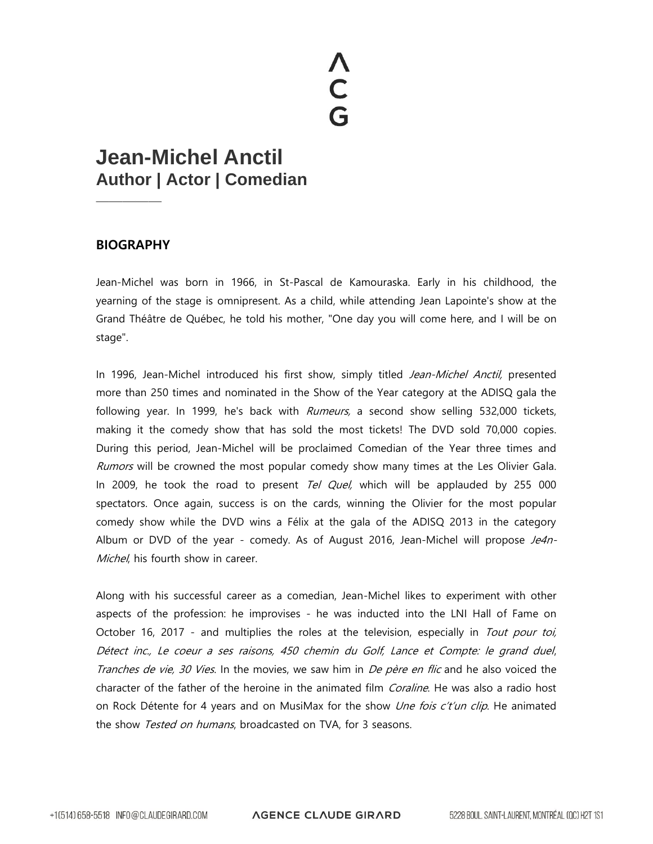## **ACG**

## **Jean-Michel Anctil Author | Actor | Comedian**

## **BIOGRAPHY**

—————

Jean-Michel was born in 1966, in St-Pascal de Kamouraska. Early in his childhood, the yearning of the stage is omnipresent. As a child, while attending Jean Lapointe's show at the Grand Théâtre de Québec, he told his mother, "One day you will come here, and I will be on stage".

In 1996, Jean-Michel introduced his first show, simply titled Jean-Michel Anctil, presented more than 250 times and nominated in the Show of the Year category at the ADISQ gala the following year. In 1999, he's back with *Rumeurs*, a second show selling 532,000 tickets, making it the comedy show that has sold the most tickets! The DVD sold 70,000 copies. During this period, Jean-Michel will be proclaimed Comedian of the Year three times and Rumors will be crowned the most popular comedy show many times at the Les Olivier Gala. In 2009, he took the road to present Tel Quel, which will be applauded by 255 000 spectators. Once again, success is on the cards, winning the Olivier for the most popular comedy show while the DVD wins a Félix at the gala of the ADISQ 2013 in the category Album or DVD of the year - comedy. As of August 2016, Jean-Michel will propose Je4n-Michel, his fourth show in career.

Along with his successful career as a comedian, Jean-Michel likes to experiment with other aspects of the profession: he improvises - he was inducted into the LNI Hall of Fame on October 16, 2017 - and multiplies the roles at the television, especially in Tout pour toi, Détect inc., Le coeur a ses raisons, 450 chemin du Golf, Lance et Compte: le grand duel, Tranches de vie, 30 Vies. In the movies, we saw him in De père en flic and he also voiced the character of the father of the heroine in the animated film *Coraline*. He was also a radio host on Rock Détente for 4 years and on MusiMax for the show *Une fois c't'un clip*. He animated the show Tested on humans, broadcasted on TVA, for 3 seasons.